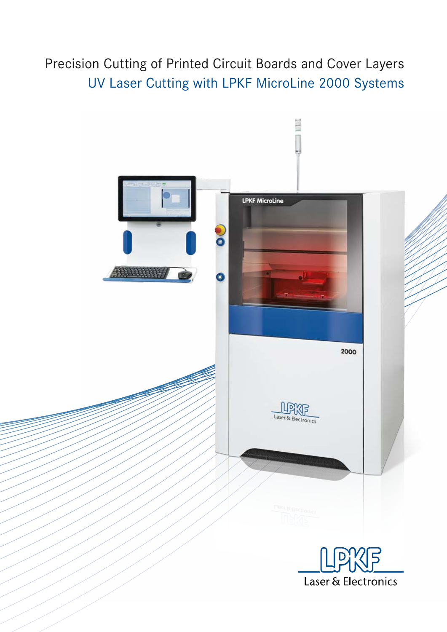Precision Cutting of Printed Circuit Boards and Cover Layers UV Laser Cutting with LPKF MicroLine 2000 Systems

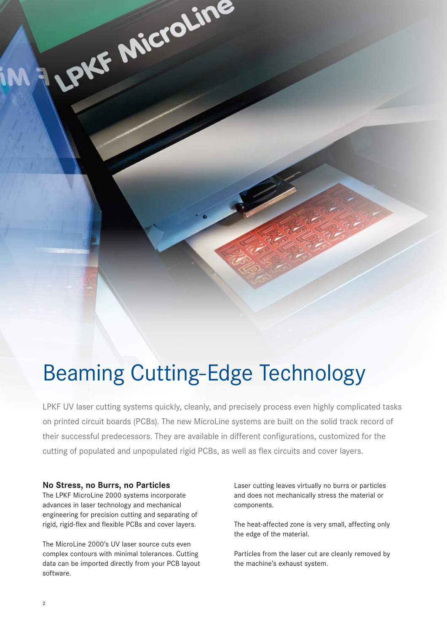# Beaming Cutting-Edge Technology

LPKF UV laser cutting systems quickly, cleanly, and precisely process even highly complicated tasks on printed circuit boards (PCBs). The new MicroLine systems are built on the solid track record of their successful predecessors. They are available in different configurations, customized for the cutting of populated and unpopulated rigid PCBs, as well as flex circuits and cover layers.

#### **No Stress, no Burrs, no Particles**

The LPKF MicroLine 2000 systems incorporate advances in laser technology and mechanical engineering for precision cutting and separating of rigid, rigid-flex and flexible PCBs and cover layers.

LPKF Microline

The MicroLine 2000's UV laser source cuts even complex contours with minimal tolerances. Cutting data can be imported directly from your PCB layout software.

Laser cutting leaves virtually no burrs or particles and does not mechanically stress the material or components.

The heat-affected zone is very small, affecting only the edge of the material.

Particles from the laser cut are cleanly removed by the machine's exhaust system.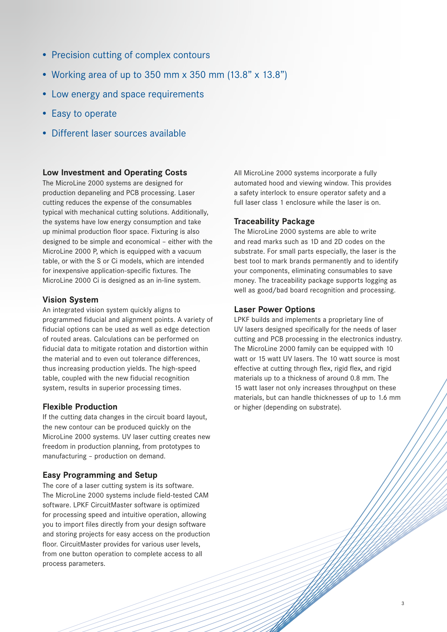- Precision cutting of complex contours
- Working area of up to 350 mm x 350 mm (13.8" x 13.8")
- Low energy and space requirements
- Easy to operate
- Different laser sources available

### **Low Investment and Operating Costs**

The MicroLine 2000 systems are designed for production depaneling and PCB processing. Laser cutting reduces the expense of the consumables typical with mechanical cutting solutions. Additionally, the systems have low energy consumption and take up minimal production floor space. Fixturing is also designed to be simple and economical – either with the MicroLine 2000 P, which is equipped with a vacuum table, or with the S or Ci models, which are intended for inexpensive application-specific fixtures. The MicroLine 2000 Ci is designed as an in-line system.

## **Vision System**

An integrated vision system quickly aligns to programmed fiducial and alignment points. A variety of fiducial options can be used as well as edge detection of routed areas. Calculations can be performed on fiducial data to mitigate rotation and distortion within the material and to even out tolerance differences, thus increasing production yields. The high-speed table, coupled with the new fiducial recognition system, results in superior processing times.

### **Flexible Production**

If the cutting data changes in the circuit board layout, the new contour can be produced quickly on the MicroLine 2000 systems. UV laser cutting creates new freedom in production planning, from prototypes to manufacturing – production on demand.

### **Easy Programming and Setup**

The core of a laser cutting system is its software. The MicroLine 2000 systems include field-tested CAM software. LPKF CircuitMaster software is optimized for processing speed and intuitive operation, allowing you to import files directly from your design software and storing projects for easy access on the production floor. CircuitMaster provides for various user levels, from one button operation to complete access to all process parameters.

All MicroLine 2000 systems incorporate a fully automated hood and viewing window. This provides a safety interlock to ensure operator safety and a full laser class 1 enclosure while the laser is on.

### **Traceability Package**

The MicroLine 2000 systems are able to write and read marks such as 1D and 2D codes on the substrate. For small parts especially, the laser is the best tool to mark brands permanently and to identify your components, eliminating consumables to save money. The traceability package supports logging as well as good/bad board recognition and processing.

### **Laser Power Options**

LPKF builds and implements a proprietary line of UV lasers designed specifically for the needs of laser cutting and PCB processing in the electronics industry. The MicroLine 2000 family can be equipped with 10 watt or 15 watt UV lasers. The 10 watt source is most effective at cutting through flex, rigid flex, and rigid materials up to a thickness of around 0.8 mm. The 15 watt laser not only increases throughput on these materials, but can handle thicknesses of up to 1.6 mm or higher (depending on substrate).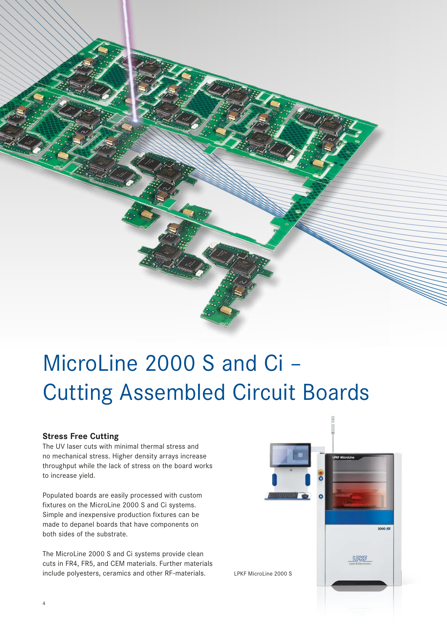

# MicroLine 2000 S and Ci – Cutting Assembled Circuit Boards

### **Stress Free Cutting**

The UV laser cuts with minimal thermal stress and no mechanical stress. Higher density arrays increase throughput while the lack of stress on the board works to increase yield.

Populated boards are easily processed with custom fixtures on the MicroLine 2000 S and Ci systems. Simple and inexpensive production fixtures can be made to depanel boards that have components on both sides of the substrate.

The MicroLine 2000 S and Ci systems provide clean cuts in FR4, FR5, and CEM materials. Further materials include polyesters, ceramics and other RF-materials.

![](_page_3_Picture_6.jpeg)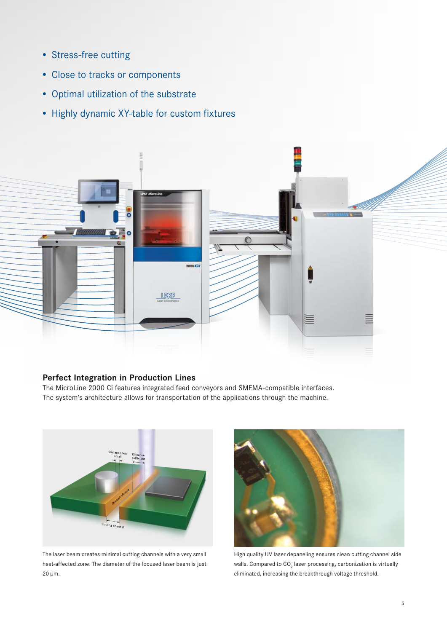- Stress-free cutting
- Close to tracks or components
- Optimal utilization of the substrate
- Highly dynamic XY-table for custom fixtures

![](_page_4_Figure_4.jpeg)

## **Perfect Integration in Production Lines**

The MicroLine 2000 Ci features integrated feed conveyors and SMEMA-compatible interfaces. The system's architecture allows for transportation of the applications through the machine.

![](_page_4_Figure_7.jpeg)

The laser beam creates minimal cutting channels with a very small heat-affected zone. The diameter of the focused laser beam is just 20 µm.

![](_page_4_Picture_9.jpeg)

High quality UV laser depaneling ensures clean cutting channel side walls. Compared to  $\mathsf{CO}_2$  laser processing, carbonization is virtually eliminated, increasing the breakthrough voltage threshold.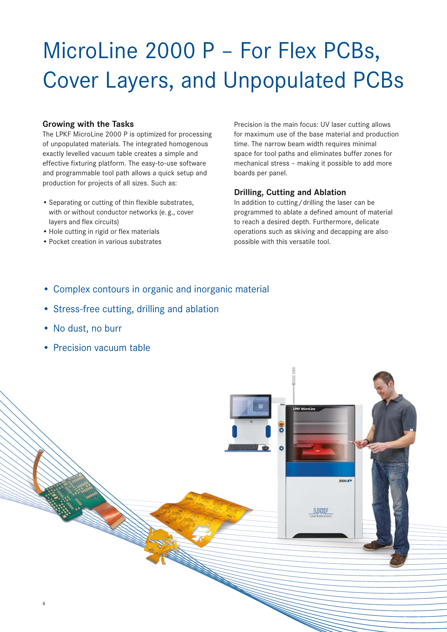# MicroLine 2000 P – For Flex PCBs, Cover Layers, and Unpopulated PCBs

## **Growing with the Tasks**

The LPKF MicroLine 2000 P is optimized for processing of unpopulated materials. The integrated homogenous exactly levelled vacuum table creates a simple and effective fixturing platform. The easy-to-use software and programmable tool path allows a quick setup and production for projects of all sizes. Such as:

- Separating or cutting of thin flexible substrates, with or without conductor networks (e. g., cover layers and flex circuits)
- Hole cutting in rigid or flex materials
- Pocket creation in various substrates

Precision is the main focus: UV laser cutting allows for maximum use of the base material and production time. The narrow beam width requires minimal space for tool paths and eliminates buffer zones for mechanical stress – making it possible to add more boards per panel.

## **Drilling, Cutting and Ablation**

In addition to cutting/drilling the laser can be programmed to ablate a defined amount of material to reach a desired depth. Furthermore, delicate operations such as skiving and decapping are also possible with this versatile tool.

- Complex contours in organic and inorganic material
- Stress-free cutting, drilling and ablation
- No dust, no burr
- Precision vacuum table

![](_page_5_Picture_13.jpeg)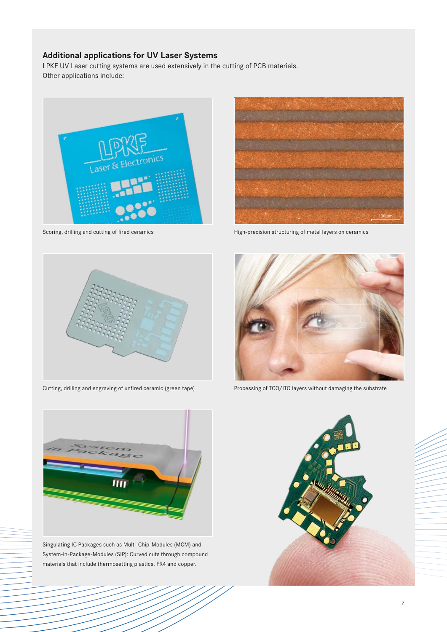## **Additional applications for UV Laser Systems**

LPKF UV Laser cutting systems are used extensively in the cutting of PCB materials. Other applications include:

![](_page_6_Picture_2.jpeg)

![](_page_6_Picture_4.jpeg)

Cutting, drilling and engraving of unfired ceramic (green tape)

![](_page_6_Picture_6.jpeg)

Singulating IC Packages such as Multi-Chip-Modules (MCM) and System-in-Package-Modules (SIP): Curved cuts through compound materials that include thermosetting plastics, FR4 and copper.

![](_page_6_Picture_8.jpeg)

Scoring, drilling and cutting of fired ceramics **High-precision structuring of metal layers on ceramics** High-precision structuring of metal layers on ceramics

![](_page_6_Picture_10.jpeg)

Processing of TCO/ITO layers without damaging the substrate

![](_page_6_Picture_12.jpeg)